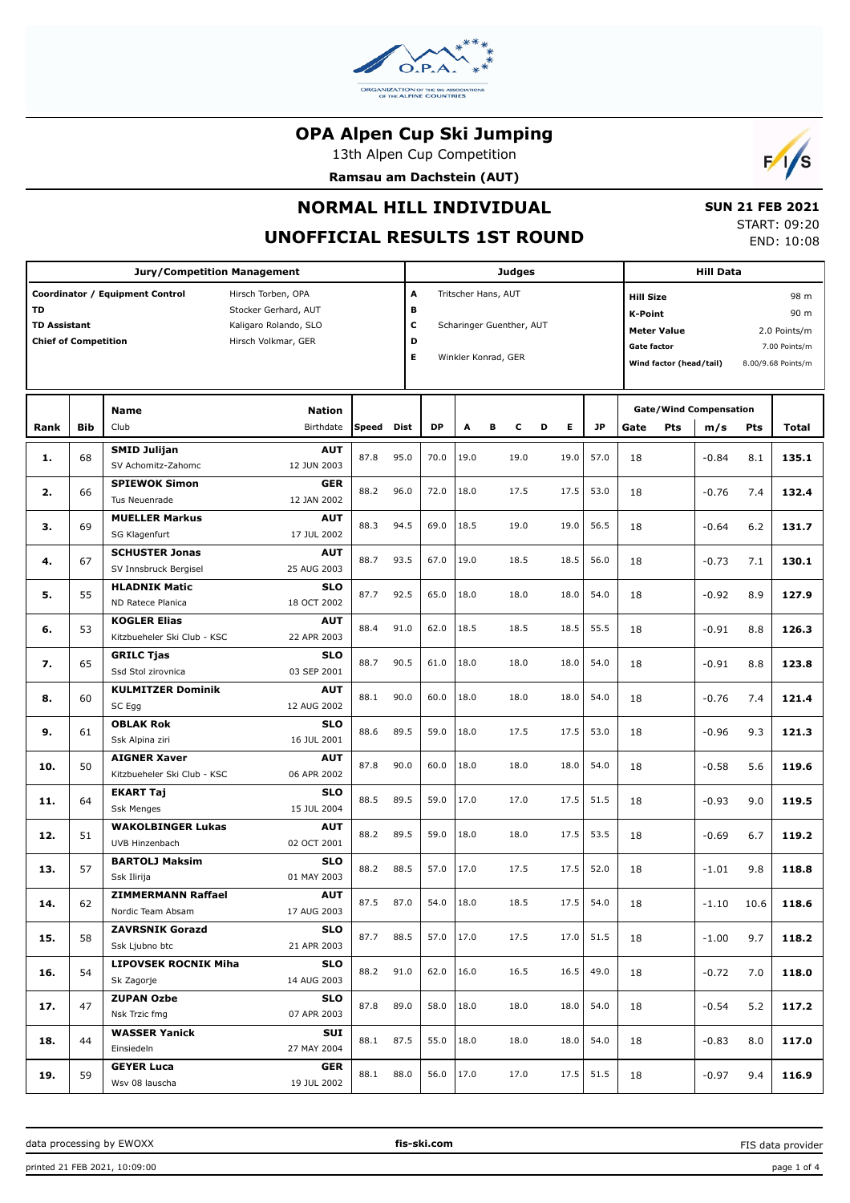

13th Alpen Cup Competition

**Ramsau am Dachstein (AUT)**



# **NORMAL HILL INDIVIDUAL**

## **UNOFFICIAL RESULTS 1ST ROUND**

 **SUN 21 FEB 2021** START: 09:20 END: 10:08

|                                                          |                                                                                                                               | <b>Jury/Competition Management</b>                                              |                       |           |           | <b>Judges</b>                                                          |        |                                                                                                                                                                           | <b>Hill Data</b> |                                              |         |      |       |
|----------------------------------------------------------|-------------------------------------------------------------------------------------------------------------------------------|---------------------------------------------------------------------------------|-----------------------|-----------|-----------|------------------------------------------------------------------------|--------|---------------------------------------------------------------------------------------------------------------------------------------------------------------------------|------------------|----------------------------------------------|---------|------|-------|
| TD<br><b>TD Assistant</b><br><b>Chief of Competition</b> | Coordinator / Equipment Control<br>Hirsch Torben, OPA<br>Stocker Gerhard, AUT<br>Kaligaro Rolando, SLO<br>Hirsch Volkmar, GER |                                                                                 | A<br>в<br>c<br>D<br>Е |           |           | Tritscher Hans, AUT<br>Scharinger Guenther, AUT<br>Winkler Konrad, GER |        | 98 m<br><b>Hill Size</b><br><b>K-Point</b><br>90 m<br>2.0 Points/m<br><b>Meter Value</b><br>Gate factor<br>7.00 Points/m<br>Wind factor (head/tail)<br>8.00/9.68 Points/m |                  |                                              |         |      |       |
| Rank                                                     | <b>Bib</b>                                                                                                                    | Name<br><b>Nation</b><br>Club<br>Birthdate                                      | Speed                 | Dist      | <b>DP</b> | A                                                                      | в<br>c | E.<br>D                                                                                                                                                                   | <b>JP</b>        | <b>Gate/Wind Compensation</b><br>Pts<br>Gate | m/s     | Pts  | Total |
| 1.                                                       | 68                                                                                                                            | <b>SMID Julijan</b><br><b>AUT</b><br>SV Achomitz-Zahomc<br>12 JUN 2003          | 87.8                  | 95.0      | 70.0      | 19.0                                                                   | 19.0   | 19.0                                                                                                                                                                      | 57.0             | 18                                           | $-0.84$ | 8.1  | 135.1 |
| 2.                                                       | 66                                                                                                                            | <b>SPIEWOK Simon</b><br><b>GER</b><br>12 JAN 2002<br>Tus Neuenrade              | 88.2                  | 96.0      | 72.0      | 18.0                                                                   | 17.5   | 17.5                                                                                                                                                                      | 53.0             | 18                                           | $-0.76$ | 7.4  | 132.4 |
| З.                                                       | 69                                                                                                                            | <b>MUELLER Markus</b><br><b>AUT</b><br>SG Klagenfurt<br>17 JUL 2002             | 88.3                  | 94.5      | 69.0      | 18.5                                                                   | 19.0   | 19.0                                                                                                                                                                      | 56.5             | 18                                           | $-0.64$ | 6.2  | 131.7 |
| 4.                                                       | 67                                                                                                                            | <b>SCHUSTER Jonas</b><br><b>AUT</b><br>SV Innsbruck Bergisel<br>25 AUG 2003     | 88.7                  | 93.5      | 67.0      | 19.0                                                                   | 18.5   | 18.5                                                                                                                                                                      | 56.0             | 18                                           | $-0.73$ | 7.1  | 130.1 |
| 5.                                                       | 55                                                                                                                            | <b>HLADNIK Matic</b><br><b>SLO</b><br>ND Ratece Planica<br>18 OCT 2002          | 87.7                  | 92.5      | 65.0      | 18.0                                                                   | 18.0   | 18.0                                                                                                                                                                      | 54.0             | 18                                           | $-0.92$ | 8.9  | 127.9 |
| 6.                                                       | 53                                                                                                                            | <b>KOGLER Elias</b><br><b>AUT</b><br>Kitzbueheler Ski Club - KSC<br>22 APR 2003 | 88.4                  | 91.0      | 62.0      | 18.5                                                                   | 18.5   | 18.5                                                                                                                                                                      | 55.5             | 18                                           | $-0.91$ | 8.8  | 126.3 |
| 7.                                                       | 65                                                                                                                            | <b>SLO</b><br><b>GRILC Tjas</b><br>Ssd Stol zirovnica<br>03 SEP 2001            | 88.7                  | 90.5      | 61.0      | 18.0                                                                   | 18.0   | 18.0                                                                                                                                                                      | 54.0             | 18                                           | $-0.91$ | 8.8  | 123.8 |
| 8.                                                       | 60                                                                                                                            | <b>KULMITZER Dominik</b><br><b>AUT</b><br>SC Egg<br>12 AUG 2002                 | 88.1                  | 90.0      | 60.0      | 18.0                                                                   | 18.0   | 18.0                                                                                                                                                                      | 54.0             | 18                                           | $-0.76$ | 7.4  | 121.4 |
| 9.                                                       | 61                                                                                                                            | <b>OBLAK Rok</b><br><b>SLO</b><br>Ssk Alpina ziri<br>16 JUL 2001                | 88.6                  | 89.5      | 59.0      | 18.0                                                                   | 17.5   | 17.5                                                                                                                                                                      | 53.0             | 18                                           | $-0.96$ | 9.3  | 121.3 |
| 10.                                                      | 50                                                                                                                            | <b>AIGNER Xaver</b><br><b>AUT</b><br>Kitzbueheler Ski Club - KSC<br>06 APR 2002 | 87.8                  | 90.0      | 60.0      | 18.0                                                                   | 18.0   | 18.0                                                                                                                                                                      | 54.0             | 18                                           | $-0.58$ | 5.6  | 119.6 |
| 11.                                                      | 64                                                                                                                            | <b>SLO</b><br><b>EKART Taj</b><br><b>Ssk Menges</b><br>15 JUL 2004              | 88.5                  | 89.5      | 59.0      | 17.0                                                                   | 17.0   | 17.5                                                                                                                                                                      | 51.5             | 18                                           | $-0.93$ | 9.0  | 119.5 |
| 12.                                                      | 51                                                                                                                            | <b>WAKOLBINGER Lukas</b><br><b>AUT</b><br>UVB Hinzenbach<br>02 OCT 2001         | 88.2                  | 89.5      | 59.0      | 18.0                                                                   | 18.0   | 17.5                                                                                                                                                                      | 53.5             | 18                                           | $-0.69$ | 6.7  | 119.2 |
| 13.                                                      | 57                                                                                                                            | <b>BARTOLJ Maksim</b><br><b>SLO</b><br>01 MAY 2003<br>Ssk Ilirija               | 88.2                  | 88.5      | 57.0      | 17.0                                                                   | 17.5   | 17.5                                                                                                                                                                      | 52.0             | 18                                           | $-1.01$ | 9.8  | 118.8 |
| 14.                                                      | 62                                                                                                                            | <b>AUT</b><br><b>ZIMMERMANN Raffael</b><br>Nordic Team Absam<br>17 AUG 2003     |                       | 87.5 87.0 | 54.0      | 18.0                                                                   | 18.5   |                                                                                                                                                                           | $17.5$ 54.0      | 18                                           | $-1.10$ | 10.6 | 118.6 |
| 15.                                                      | 58                                                                                                                            | <b>ZAVRSNIK Gorazd</b><br><b>SLO</b><br>Ssk Ljubno btc<br>21 APR 2003           | 87.7                  | 88.5      | 57.0      | 17.0                                                                   | 17.5   | 17.0                                                                                                                                                                      | 51.5             | 18                                           | $-1.00$ | 9.7  | 118.2 |
| 16.                                                      | 54                                                                                                                            | <b>LIPOVSEK ROCNIK Miha</b><br><b>SLO</b><br>Sk Zagorje<br>14 AUG 2003          | 88.2                  | 91.0      | 62.0      | 16.0                                                                   | 16.5   | 16.5                                                                                                                                                                      | 49.0             | 18                                           | $-0.72$ | 7.0  | 118.0 |
| 17.                                                      | 47                                                                                                                            | <b>ZUPAN Ozbe</b><br><b>SLO</b><br>Nsk Trzic fmg<br>07 APR 2003                 | 87.8                  | 89.0      | 58.0      | 18.0                                                                   | 18.0   | 18.0                                                                                                                                                                      | 54.0             | 18                                           | $-0.54$ | 5.2  | 117.2 |
| 18.                                                      | 44                                                                                                                            | <b>WASSER Yanick</b><br>SUI<br>Einsiedeln<br>27 MAY 2004                        | 88.1                  | 87.5      | 55.0      | 18.0                                                                   | 18.0   | 18.0                                                                                                                                                                      | 54.0             | 18                                           | $-0.83$ | 8.0  | 117.0 |
| 19.                                                      | 59                                                                                                                            | <b>GEYER Luca</b><br>GER<br>Wsv 08 lauscha<br>19 JUL 2002                       | 88.1                  | 88.0      | 56.0      | 17.0                                                                   | 17.0   | 17.5                                                                                                                                                                      | 51.5             | 18                                           | $-0.97$ | 9.4  | 116.9 |

data processing by EWOXX **fis-ski.com**

FIS data provider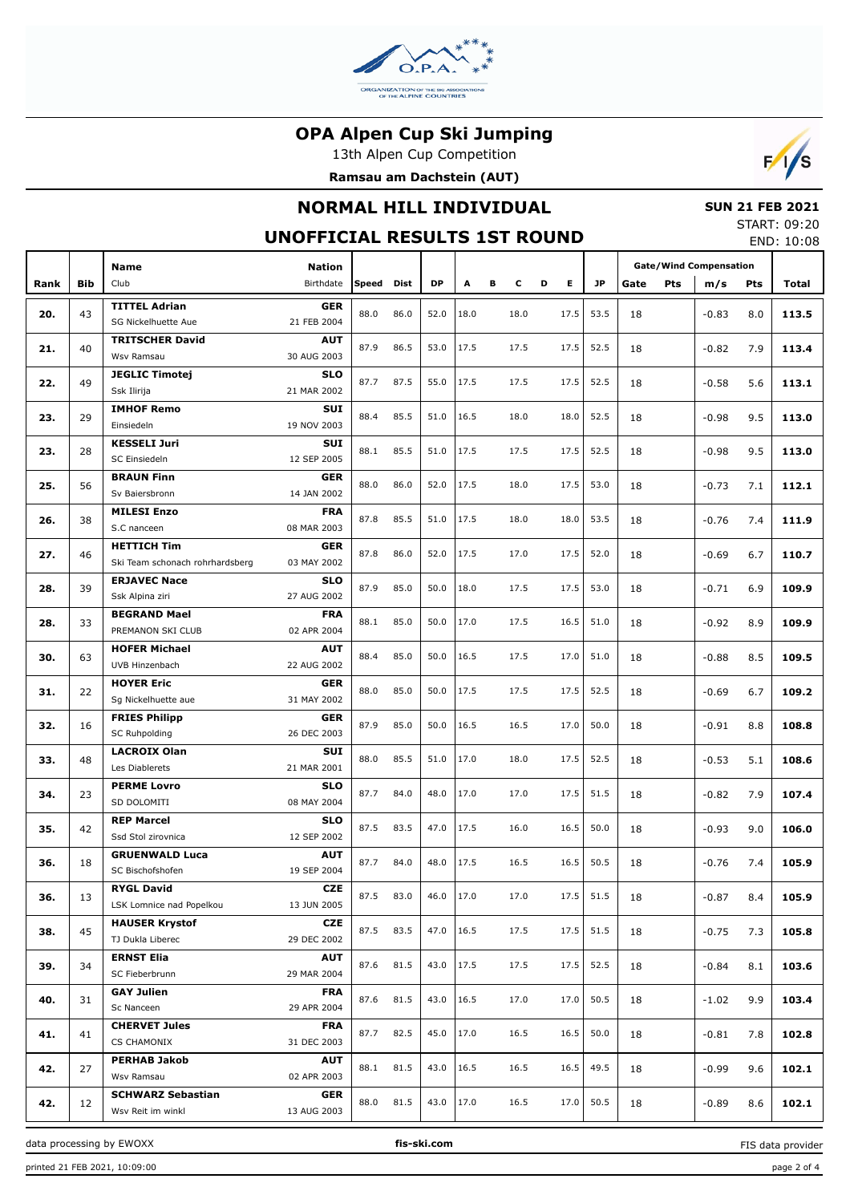

13th Alpen Cup Competition





## **NORMAL HILL INDIVIDUAL**

### **SUN 21 FEB 2021**

**UNOFFICIAL RESULTS 1ST ROUND**

| START: 09:20 |            |
|--------------|------------|
|              | END: 10:08 |

|      |            |                                 |             |       |             |      |                               |   |      |   |      |           |      |            |         |     | END. IU.UO |
|------|------------|---------------------------------|-------------|-------|-------------|------|-------------------------------|---|------|---|------|-----------|------|------------|---------|-----|------------|
|      |            | <b>Nation</b><br>Name           |             |       |             |      | <b>Gate/Wind Compensation</b> |   |      |   |      |           |      |            |         |     |            |
|      | <b>Bib</b> | Club                            | Birthdate   | Speed | <b>Dist</b> | DP   | A                             | в | c    | D | Е    | <b>JP</b> |      | <b>Pts</b> |         |     |            |
| Rank |            |                                 |             |       |             |      |                               |   |      |   |      |           | Gate |            | m/s     | Pts | Total      |
| 20.  | 43         | <b>TITTEL Adrian</b>            | <b>GER</b>  | 88.0  | 86.0        | 52.0 | 18.0                          |   | 18.0 |   | 17.5 | 53.5      | 18   |            | $-0.83$ | 8.0 | 113.5      |
|      |            | SG Nickelhuette Aue             | 21 FEB 2004 |       |             |      |                               |   |      |   |      |           |      |            |         |     |            |
|      |            | <b>TRITSCHER David</b>          | <b>AUT</b>  |       |             |      |                               |   |      |   |      |           |      |            |         |     |            |
| 21.  | 40         | Wsv Ramsau                      | 30 AUG 2003 | 87.9  | 86.5        | 53.0 | 17.5                          |   | 17.5 |   | 17.5 | 52.5      | 18   |            | $-0.82$ | 7.9 | 113.4      |
|      |            | <b>JEGLIC Timotej</b>           | <b>SLO</b>  |       |             |      |                               |   |      |   |      |           |      |            |         |     |            |
| 22.  | 49         | Ssk Ilirija                     | 21 MAR 2002 | 87.7  | 87.5        | 55.0 | 17.5                          |   | 17.5 |   | 17.5 | 52.5      | 18   |            | $-0.58$ | 5.6 | 113.1      |
|      |            | <b>IMHOF Remo</b>               | SUI         |       |             |      |                               |   |      |   |      |           |      |            |         |     |            |
| 23.  | 29         | Einsiedeln                      | 19 NOV 2003 | 88.4  | 85.5        | 51.0 | 16.5                          |   | 18.0 |   | 18.0 | 52.5      | 18   |            | $-0.98$ | 9.5 | 113.0      |
|      |            | <b>KESSELI Juri</b>             | SUI         |       |             |      |                               |   |      |   |      |           |      |            |         |     |            |
| 23.  | 28         | SC Einsiedeln                   | 12 SEP 2005 |       | 85.5        | 51.0 | 17.5                          |   | 17.5 |   | 17.5 | 52.5      | 18   |            | $-0.98$ | 9.5 | 113.0      |
|      |            | <b>BRAUN Finn</b>               | <b>GER</b>  |       |             |      |                               |   |      |   |      |           |      |            |         |     |            |
| 25.  | 56         | Sv Baiersbronn                  | 14 JAN 2002 | 88.0  | 86.0        | 52.0 | 17.5                          |   | 18.0 |   | 17.5 | 53.0      | 18   |            | $-0.73$ | 7.1 | 112.1      |
|      |            | <b>MILESI Enzo</b>              | <b>FRA</b>  |       |             |      |                               |   |      |   |      |           |      |            |         |     |            |
| 26.  | 38         | S.C nanceen                     | 08 MAR 2003 | 87.8  | 85.5        | 51.0 | 17.5                          |   | 18.0 |   | 18.0 | 53.5      | 18   |            | $-0.76$ | 7.4 | 111.9      |
|      |            | <b>HETTICH Tim</b>              | <b>GER</b>  |       |             |      |                               |   |      |   |      |           |      |            |         |     |            |
| 27.  | 46         | Ski Team schonach rohrhardsberg | 03 MAY 2002 | 87.8  | 86.0        | 52.0 | 17.5                          |   | 17.0 |   | 17.5 | 52.0      | 18   |            | $-0.69$ | 6.7 | 110.7      |
|      |            | <b>ERJAVEC Nace</b>             | <b>SLO</b>  |       |             |      |                               |   |      |   |      |           |      |            |         |     |            |
| 28.  | 39         | Ssk Alpina ziri                 | 27 AUG 2002 | 87.9  | 85.0        | 50.0 | 18.0                          |   | 17.5 |   | 17.5 | 53.0      | 18   |            | $-0.71$ | 6.9 | 109.9      |
|      |            |                                 |             |       |             |      |                               |   |      |   |      |           |      |            |         |     |            |
| 28.  | 33         | <b>BEGRAND Mael</b>             | <b>FRA</b>  | 88.1  | 85.0        | 50.0 | 17.0                          |   | 17.5 |   | 16.5 | 51.0      | 18   |            | $-0.92$ | 8.9 | 109.9      |
|      |            | PREMANON SKI CLUB               | 02 APR 2004 |       |             |      |                               |   |      |   |      |           |      |            |         |     |            |
| 30.  | 63         | <b>HOFER Michael</b>            | <b>AUT</b>  | 88.4  | 85.0        | 50.0 | 16.5                          |   | 17.5 |   | 17.0 | 51.0      | 18   |            | $-0.88$ | 8.5 | 109.5      |
|      |            | UVB Hinzenbach                  | 22 AUG 2002 |       |             |      |                               |   |      |   |      |           |      |            |         |     |            |
| 31.  | 22         | <b>HOYER Eric</b>               | <b>GER</b>  | 88.0  | 85.0        | 50.0 | 17.5                          |   | 17.5 |   | 17.5 | 52.5      | 18   |            | $-0.69$ | 6.7 | 109.2      |
|      |            | Sg Nickelhuette aue             | 31 MAY 2002 |       |             |      |                               |   |      |   |      |           |      |            |         |     |            |
| 32.  | 16         | <b>FRIES Philipp</b>            | <b>GER</b>  | 87.9  | 85.0        | 50.0 | 16.5                          |   | 16.5 |   | 17.0 | 50.0      | 18   |            | $-0.91$ | 8.8 | 108.8      |
|      |            | <b>SC Ruhpolding</b>            | 26 DEC 2003 |       |             |      |                               |   |      |   |      |           |      |            |         |     |            |
| 33.  | 48         | <b>LACROIX Olan</b>             | SUI         | 88.0  | 85.5        | 51.0 | 17.0                          |   | 18.0 |   | 17.5 | 52.5      | 18   |            | $-0.53$ | 5.1 | 108.6      |
|      |            | Les Diablerets                  | 21 MAR 2001 |       |             |      |                               |   |      |   |      |           |      |            |         |     |            |
| 34.  | 23         | <b>PERME Lovro</b>              | <b>SLO</b>  | 87.7  | 84.0        | 48.0 | 17.0                          |   | 17.0 |   | 17.5 | 51.5      | 18   |            | $-0.82$ | 7.9 | 107.4      |
|      |            | SD DOLOMITI                     | 08 MAY 2004 |       |             |      |                               |   |      |   |      |           |      |            |         |     |            |
| 35.  | 42         | <b>REP Marcel</b>               | <b>SLO</b>  | 87.5  | 83.5        | 47.0 | 17.5                          |   | 16.0 |   | 16.5 | 50.0      | 18   |            | $-0.93$ | 9.0 | 106.0      |
|      |            | Ssd Stol zirovnica              | 12 SEP 2002 |       |             |      |                               |   |      |   |      |           |      |            |         |     |            |
| 36.  | 18         | <b>GRUENWALD Luca</b>           | <b>AUT</b>  | 87.7  | 84.0        | 48.0 | 17.5                          |   | 16.5 |   | 16.5 | 50.5      | 18   |            | $-0.76$ | 7.4 | 105.9      |
|      |            | SC Bischofshofen                | 19 SEP 2004 |       |             |      |                               |   |      |   |      |           |      |            |         |     |            |
| 36.  | 13         | <b>RYGL David</b>               | <b>CZE</b>  | 87.5  | 83.0        | 46.0 | 17.0                          |   | 17.0 |   | 17.5 | 51.5      | 18   |            | $-0.87$ | 8.4 | 105.9      |
|      |            | LSK Lomnice nad Popelkou        | 13 JUN 2005 |       |             |      |                               |   |      |   |      |           |      |            |         |     |            |
| 38.  | 45         | <b>HAUSER Krystof</b>           | <b>CZE</b>  | 87.5  | 83.5        | 47.0 | 16.5                          |   | 17.5 |   | 17.5 | 51.5      | 18   |            | $-0.75$ | 7.3 | 105.8      |
|      |            | TJ Dukla Liberec                | 29 DEC 2002 |       |             |      |                               |   |      |   |      |           |      |            |         |     |            |
| 39.  | 34         | <b>ERNST Elia</b>               | <b>AUT</b>  | 87.6  | 81.5        | 43.0 | 17.5                          |   | 17.5 |   | 17.5 | 52.5      | 18   |            | $-0.84$ | 8.1 | 103.6      |
|      |            | SC Fieberbrunn                  | 29 MAR 2004 |       |             |      |                               |   |      |   |      |           |      |            |         |     |            |
|      |            | <b>GAY Julien</b>               | <b>FRA</b>  | 87.6  | 81.5        | 43.0 | 16.5                          |   | 17.0 |   | 17.0 | 50.5      |      |            |         |     |            |
| 40.  | 31         | Sc Nanceen                      | 29 APR 2004 |       |             |      |                               |   |      |   |      |           | 18   |            | $-1.02$ | 9.9 | 103.4      |
|      |            | <b>CHERVET Jules</b>            | <b>FRA</b>  | 87.7  |             | 45.0 | 17.0                          |   |      |   | 16.5 |           |      |            |         |     |            |
| 41.  | 41         | CS CHAMONIX                     | 31 DEC 2003 |       | 82.5        |      |                               |   | 16.5 |   |      | 50.0      | 18   |            | $-0.81$ | 7.8 | 102.8      |
|      |            | <b>PERHAB Jakob</b>             | <b>AUT</b>  |       |             |      |                               |   |      |   |      |           |      |            |         |     |            |
| 42.  | 27         | Wsv Ramsau                      | 02 APR 2003 | 88.1  | 81.5        | 43.0 | 16.5                          |   | 16.5 |   | 16.5 | 49.5      | 18   |            | $-0.99$ | 9.6 | 102.1      |
|      |            | <b>SCHWARZ Sebastian</b>        | <b>GER</b>  |       |             |      |                               |   |      |   |      |           |      |            |         |     |            |
|      | 42.<br>12  | Wsv Reit im winkl               | 13 AUG 2003 | 88.0  | 81.5        | 43.0 | 17.0                          |   | 16.5 |   | 17.0 | 50.5      | 18   |            | $-0.89$ | 8.6 | 102.1      |

data processing by EWOXX **fis-ski.com**

FIS data provider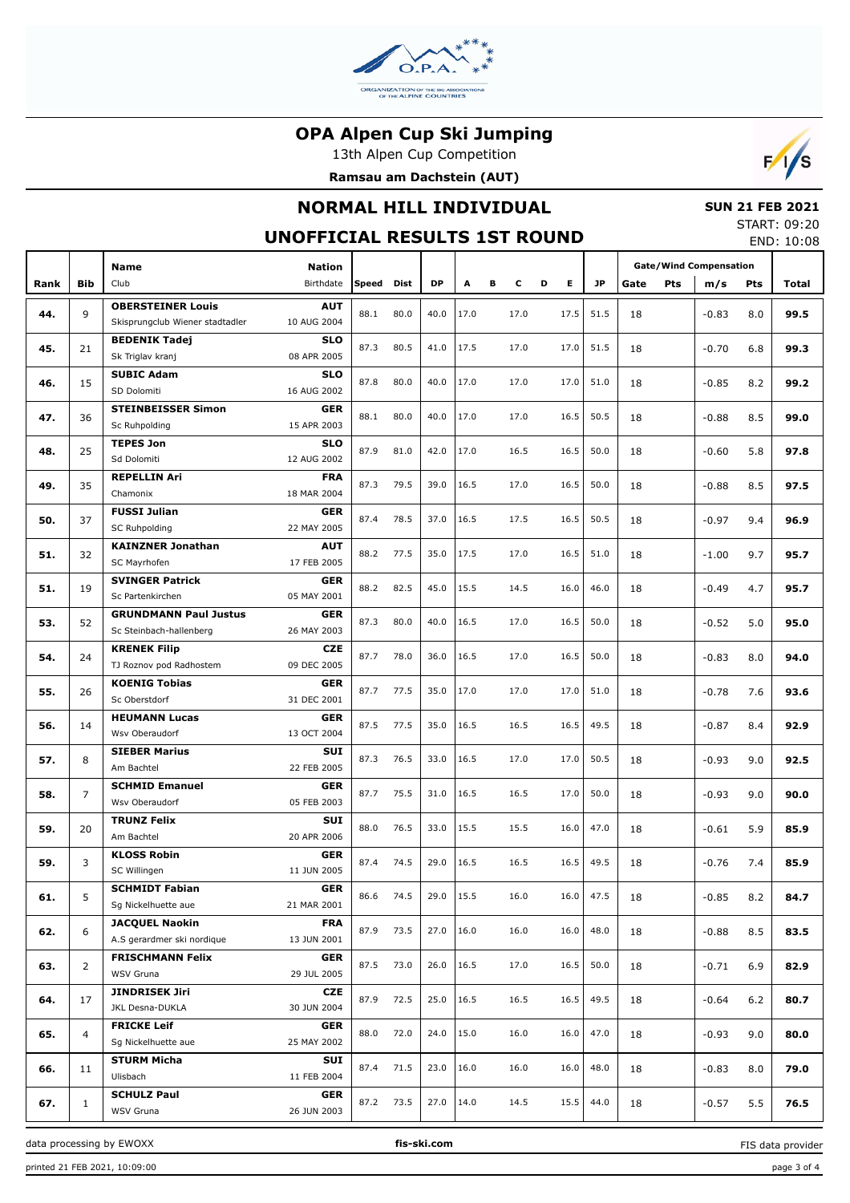

13th Alpen Cup Competition





## **NORMAL HILL INDIVIDUAL**

## **SUN 21 FEB 2021**

#### **UNOFFICIAL RESULTS 1ST ROUND**

START: 09:20 END: 10:08

|      |              |                                          |                            |            |      |      |      |   |      |   |      |           |      | <b>Gate/Wind Compensation</b> |         |            |       |
|------|--------------|------------------------------------------|----------------------------|------------|------|------|------|---|------|---|------|-----------|------|-------------------------------|---------|------------|-------|
|      |              | <b>Name</b>                              | <b>Nation</b><br>Birthdate | Speed Dist |      | DP   |      |   |      |   | Е    | <b>JP</b> |      |                               |         |            |       |
| Rank | <b>Bib</b>   | Club                                     |                            |            |      |      | Α    | в | c    | D |      |           | Gate | <b>Pts</b>                    | m/s     | <b>Pts</b> | Total |
| 44.  | 9            | <b>OBERSTEINER Louis</b>                 | <b>AUT</b>                 | 88.1       | 80.0 | 40.0 | 17.0 |   | 17.0 |   | 17.5 | 51.5      | 18   |                               | $-0.83$ | 8.0        | 99.5  |
|      |              | Skisprungclub Wiener stadtadler          | 10 AUG 2004                |            |      |      |      |   |      |   |      |           |      |                               |         |            |       |
| 45.  | 21           | <b>BEDENIK Tadej</b>                     | <b>SLO</b>                 | 87.3       | 80.5 | 41.0 | 17.5 |   | 17.0 |   | 17.0 | 51.5      | 18   |                               | $-0.70$ | 6.8        | 99.3  |
|      |              | Sk Triglav kranj                         | 08 APR 2005                |            |      |      |      |   |      |   |      |           |      |                               |         |            |       |
| 46.  | 15           | <b>SUBIC Adam</b>                        | <b>SLO</b>                 | 87.8       | 80.0 | 40.0 | 17.0 |   | 17.0 |   | 17.0 | 51.0      | 18   |                               | $-0.85$ | 8.2        | 99.2  |
|      |              | SD Dolomiti                              | 16 AUG 2002                |            |      |      |      |   |      |   |      |           |      |                               |         |            |       |
| 47.  | 36           | <b>STEINBEISSER Simon</b>                | <b>GER</b>                 | 88.1       | 80.0 | 40.0 | 17.0 |   | 17.0 |   | 16.5 | 50.5      | 18   |                               | $-0.88$ | 8.5        | 99.0  |
|      |              | Sc Ruhpolding                            | 15 APR 2003                |            |      |      |      |   |      |   |      |           |      |                               |         |            |       |
| 48.  | 25           | <b>TEPES Jon</b><br>Sd Dolomiti          | <b>SLO</b><br>12 AUG 2002  | 87.9       | 81.0 | 42.0 | 17.0 |   | 16.5 |   | 16.5 | 50.0      | 18   |                               | $-0.60$ | 5.8        | 97.8  |
|      |              | <b>REPELLIN Ari</b>                      | <b>FRA</b>                 |            |      |      |      |   |      |   |      |           |      |                               |         |            |       |
| 49.  | 35           | Chamonix                                 | 18 MAR 2004                | 87.3       | 79.5 | 39.0 | 16.5 |   | 17.0 |   | 16.5 | 50.0      | 18   |                               | $-0.88$ | 8.5        | 97.5  |
|      |              | <b>FUSSI Julian</b>                      | <b>GER</b>                 |            |      |      |      |   |      |   |      |           |      |                               |         |            |       |
| 50.  | 37           | <b>SC Ruhpolding</b>                     | 22 MAY 2005                | 87.4       | 78.5 | 37.0 | 16.5 |   | 17.5 |   | 16.5 | 50.5      | 18   |                               | $-0.97$ | 9.4        | 96.9  |
|      |              | <b>KAINZNER Jonathan</b>                 | <b>AUT</b>                 |            |      |      |      |   |      |   |      |           |      |                               |         |            |       |
| 51.  | 32           | SC Mayrhofen                             | 17 FEB 2005                | 88.2       | 77.5 | 35.0 | 17.5 |   | 17.0 |   | 16.5 | 51.0      | 18   |                               | $-1.00$ | 9.7        | 95.7  |
|      |              | <b>SVINGER Patrick</b>                   | <b>GER</b>                 |            |      |      |      |   |      |   |      |           |      |                               |         |            |       |
| 51.  | 19           | Sc Partenkirchen                         | 05 MAY 2001                | 88.2       | 82.5 | 45.0 | 15.5 |   | 14.5 |   | 16.0 | 46.0      | 18   |                               | $-0.49$ | 4.7        | 95.7  |
|      |              | <b>GRUNDMANN Paul Justus</b>             | <b>GER</b>                 |            |      |      |      |   |      |   |      |           |      |                               |         |            |       |
| 53.  | 52           | Sc Steinbach-hallenberg                  | 26 MAY 2003                | 87.3       | 80.0 | 40.0 | 16.5 |   | 17.0 |   | 16.5 | 50.0      | 18   |                               | $-0.52$ | 5.0        | 95.0  |
|      |              | <b>KRENEK Filip</b>                      | <b>CZE</b>                 |            |      |      |      |   |      |   |      |           |      |                               |         |            |       |
| 54.  | 24           | TJ Roznov pod Radhostem                  | 09 DEC 2005                | 87.7       | 78.0 | 36.0 | 16.5 |   | 17.0 |   | 16.5 | 50.0      | 18   |                               | $-0.83$ | 8.0        | 94.0  |
|      |              | <b>KOENIG Tobias</b>                     | <b>GER</b>                 |            |      |      |      |   |      |   |      |           |      |                               |         |            |       |
| 55.  | 26           | Sc Oberstdorf                            | 31 DEC 2001                | 87.7       | 77.5 | 35.0 | 17.0 |   | 17.0 |   | 17.0 | 51.0      | 18   |                               | $-0.78$ | 7.6        | 93.6  |
|      |              | <b>HEUMANN Lucas</b>                     | <b>GER</b>                 |            | 77.5 | 35.0 | 16.5 |   |      |   |      | 49.5      |      |                               |         |            |       |
| 56.  | 14           | Wsv Oberaudorf                           | 13 OCT 2004                | 87.5       |      |      |      |   | 16.5 |   | 16.5 |           | 18   |                               | $-0.87$ | 8.4        | 92.9  |
| 57.  | 8            | <b>SIEBER Marius</b>                     | <b>SUI</b>                 |            | 76.5 | 33.0 | 16.5 |   | 17.0 |   | 17.0 | 50.5      | 18   |                               |         | 9.0        | 92.5  |
|      |              | Am Bachtel                               | 22 FEB 2005                | 87.3       |      |      |      |   |      |   |      |           |      |                               | $-0.93$ |            |       |
| 58.  | 7            | <b>SCHMID Emanuel</b>                    | <b>GER</b>                 | 87.7       | 75.5 | 31.0 | 16.5 |   | 16.5 |   | 17.0 | 50.0      | 18   |                               | $-0.93$ | 9.0        | 90.0  |
|      |              | Wsv Oberaudorf                           | 05 FEB 2003                |            |      |      |      |   |      |   |      |           |      |                               |         |            |       |
| 59.  | 20           | <b>TRUNZ Felix</b>                       | <b>SUI</b>                 | 88.0       | 76.5 | 33.0 | 15.5 |   | 15.5 |   | 16.0 | 47.0      | 18   |                               | $-0.61$ | 5.9        | 85.9  |
|      |              | Am Bachtel                               | 20 APR 2006                |            |      |      |      |   |      |   |      |           |      |                               |         |            |       |
| 59.  | 3            | <b>KLOSS Robin</b>                       | <b>GER</b>                 | 87.4       | 74.5 | 29.0 | 16.5 |   | 16.5 |   | 16.5 | 49.5      | 18   |                               | $-0.76$ | 7.4        | 85.9  |
|      |              | SC Willingen                             | 11 JUN 2005                |            |      |      |      |   |      |   |      |           |      |                               |         |            |       |
| 61.  | 5            | <b>SCHMIDT Fabian</b>                    | GER                        | 86.6       | 74.5 | 29.0 | 15.5 |   | 16.0 |   | 16.0 | 47.5      | 18   |                               | $-0.85$ | 8.2        | 84.7  |
|      |              | Sg Nickelhuette aue                      | 21 MAR 2001                |            |      |      |      |   |      |   |      |           |      |                               |         |            |       |
| 62.  | 6            | <b>JACQUEL Naokin</b>                    | <b>FRA</b>                 | 87.9       | 73.5 | 27.0 | 16.0 |   | 16.0 |   | 16.0 | 48.0      | 18   |                               | $-0.88$ | 8.5        | 83.5  |
|      |              | A.S gerardmer ski nordique               | 13 JUN 2001                |            |      |      |      |   |      |   |      |           |      |                               |         |            |       |
| 63.  | 2            | <b>FRISCHMANN Felix</b><br>WSV Gruna     | <b>GER</b><br>29 JUL 2005  | 87.5       | 73.0 | 26.0 | 16.5 |   | 17.0 |   | 16.5 | 50.0      | 18   |                               | $-0.71$ | 6.9        | 82.9  |
|      |              |                                          |                            |            |      |      |      |   |      |   |      |           |      |                               |         |            |       |
| 64.  | 17           | <b>JINDRISEK Jiri</b><br>JKL Desna-DUKLA | <b>CZE</b><br>30 JUN 2004  | 87.9       | 72.5 | 25.0 | 16.5 |   | 16.5 |   | 16.5 | 49.5      | 18   |                               | $-0.64$ | 6.2        | 80.7  |
|      |              | <b>FRICKE Leif</b>                       | <b>GER</b>                 |            |      |      |      |   |      |   |      |           |      |                               |         |            |       |
| 65.  | 4            | Sg Nickelhuette aue                      | 25 MAY 2002                | 88.0       | 72.0 | 24.0 | 15.0 |   | 16.0 |   | 16.0 | 47.0      | 18   |                               | $-0.93$ | 9.0        | 80.0  |
|      |              | <b>STURM Micha</b>                       | <b>SUI</b>                 |            |      |      |      |   |      |   |      |           |      |                               |         |            |       |
| 66.  | 11           | Ulisbach                                 | 11 FEB 2004                | 87.4       | 71.5 | 23.0 | 16.0 |   | 16.0 |   | 16.0 | 48.0      | 18   |                               | $-0.83$ | 8.0        | 79.0  |
|      |              | <b>SCHULZ Paul</b>                       | <b>GER</b>                 |            |      |      |      |   |      |   |      |           |      |                               |         |            |       |
| 67.  | $\mathbf{1}$ | WSV Gruna                                | 26 JUN 2003                | 87.2       | 73.5 | 27.0 | 14.0 |   | 14.5 |   | 15.5 | 44.0      | 18   |                               | $-0.57$ | 5.5        | 76.5  |
|      |              |                                          |                            |            |      |      |      |   |      |   |      |           |      |                               |         |            |       |

data processing by EWOXX **fis-ski.com**

FIS data provider